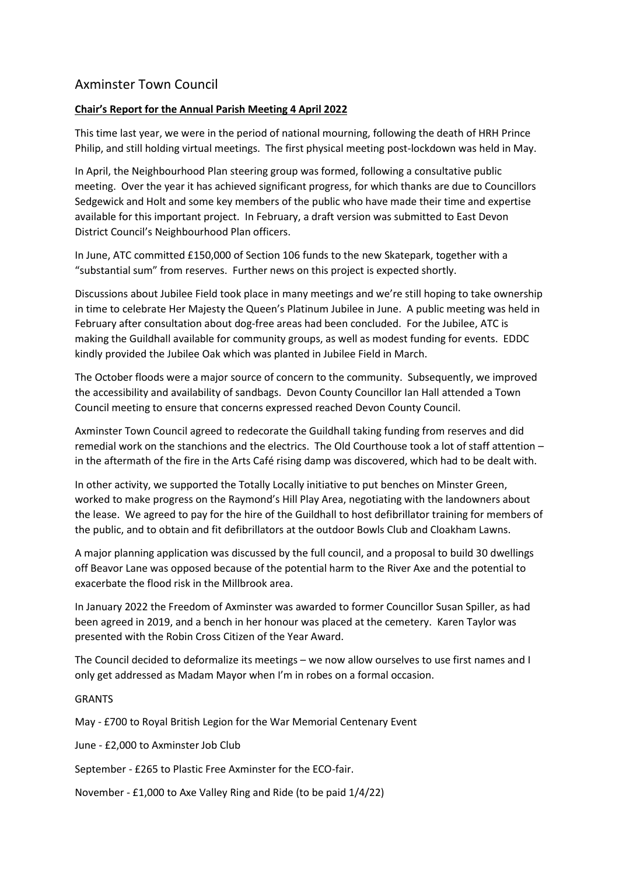## Axminster Town Council

## **Chair's Report for the Annual Parish Meeting 4 April 2022**

This time last year, we were in the period of national mourning, following the death of HRH Prince Philip, and still holding virtual meetings. The first physical meeting post-lockdown was held in May.

In April, the Neighbourhood Plan steering group was formed, following a consultative public meeting. Over the year it has achieved significant progress, for which thanks are due to Councillors Sedgewick and Holt and some key members of the public who have made their time and expertise available for this important project. In February, a draft version was submitted to East Devon District Council's Neighbourhood Plan officers.

In June, ATC committed £150,000 of Section 106 funds to the new Skatepark, together with a "substantial sum" from reserves. Further news on this project is expected shortly.

Discussions about Jubilee Field took place in many meetings and we're still hoping to take ownership in time to celebrate Her Majesty the Queen's Platinum Jubilee in June. A public meeting was held in February after consultation about dog-free areas had been concluded. For the Jubilee, ATC is making the Guildhall available for community groups, as well as modest funding for events. EDDC kindly provided the Jubilee Oak which was planted in Jubilee Field in March.

The October floods were a major source of concern to the community. Subsequently, we improved the accessibility and availability of sandbags. Devon County Councillor Ian Hall attended a Town Council meeting to ensure that concerns expressed reached Devon County Council.

Axminster Town Council agreed to redecorate the Guildhall taking funding from reserves and did remedial work on the stanchions and the electrics. The Old Courthouse took a lot of staff attention – in the aftermath of the fire in the Arts Café rising damp was discovered, which had to be dealt with.

In other activity, we supported the Totally Locally initiative to put benches on Minster Green, worked to make progress on the Raymond's Hill Play Area, negotiating with the landowners about the lease. We agreed to pay for the hire of the Guildhall to host defibrillator training for members of the public, and to obtain and fit defibrillators at the outdoor Bowls Club and Cloakham Lawns.

A major planning application was discussed by the full council, and a proposal to build 30 dwellings off Beavor Lane was opposed because of the potential harm to the River Axe and the potential to exacerbate the flood risk in the Millbrook area.

In January 2022 the Freedom of Axminster was awarded to former Councillor Susan Spiller, as had been agreed in 2019, and a bench in her honour was placed at the cemetery. Karen Taylor was presented with the Robin Cross Citizen of the Year Award.

The Council decided to deformalize its meetings – we now allow ourselves to use first names and I only get addressed as Madam Mayor when I'm in robes on a formal occasion.

## GRANTS

May - £700 to Royal British Legion for the War Memorial Centenary Event

June - £2,000 to Axminster Job Club

September - £265 to Plastic Free Axminster for the ECO-fair.

November - £1,000 to Axe Valley Ring and Ride (to be paid 1/4/22)